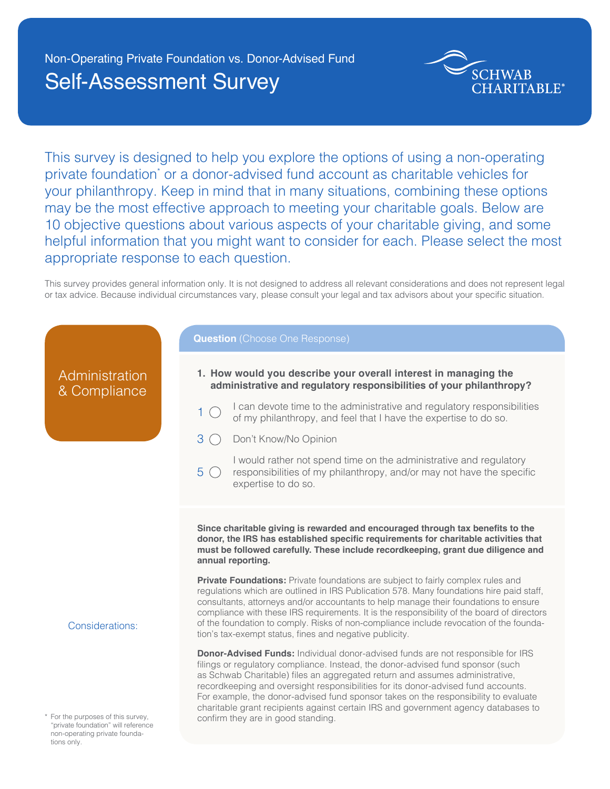

This survey is designed to help you explore the options of using a non-operating private foundation<sup>\*</sup> or a donor-advised fund account as charitable vehicles for your philanthropy. Keep in mind that in many situations, combining these options may be the most effective approach to meeting your charitable goals. Below are 10 objective questions about various aspects of your charitable giving, and some helpful information that you might want to consider for each. Please select the most appropriate response to each question.

This survey provides general information only. It is not designed to address all relevant considerations and does not represent legal or tax advice. Because individual circumstances vary, please consult your legal and tax advisors about your specific situation.

# Administration & Compliance

#### **Question** (Choose One Response)

- **1. How would you describe your overall interest in managing the administrative and regulatory responsibilities of your philanthropy?**
- I can devote time to the administrative and regulatory responsibilities of my philanthropy, and feel that I have the expertise to do so.  $1^\circ$
- 3 O Don't Know/No Opinion
- I would rather not spend time on the administrative and regulatory  $5 \circledcirc$  responsibilities of my philanthropy, and/or may not have the specific expertise to do so.

**Since charitable giving is rewarded and encouraged through tax benefits to the donor, the IRS has established specific requirements for charitable activities that must be followed carefully. These include recordkeeping, grant due diligence and annual reporting.** 

**Private Foundations:** Private foundations are subject to fairly complex rules and regulations which are outlined in IRS Publication 578. Many foundations hire paid staff, consultants, attorneys and/or accountants to help manage their foundations to ensure compliance with these IRS requirements. It is the responsibility of the board of directors of the foundation to comply. Risks of non-compliance include revocation of the foundation's tax-exempt status, fines and negative publicity.

**Donor-Advised Funds:** Individual donor-advised funds are not responsible for IRS filings or regulatory compliance. Instead, the donor-advised fund sponsor (such as Schwab Charitable) files an aggregated return and assumes administrative, recordkeeping and oversight responsibilities for its donor-advised fund accounts. For example, the donor-advised fund sponsor takes on the responsibility to evaluate charitable grant recipients against certain IRS and government agency databases to \* For the purposes of this survey, example of the purposes of this survey,

Considerations:

"private foundation" will reference non-operating private foundations only.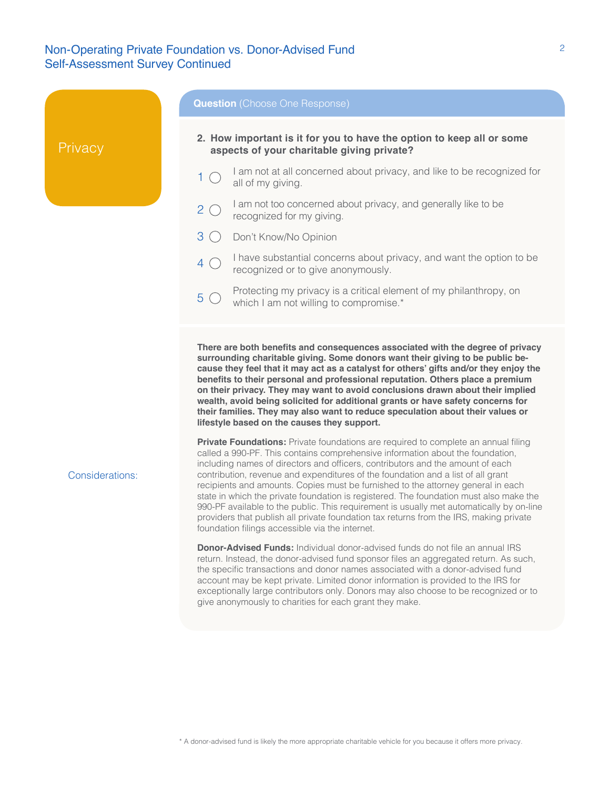|                 | <b>Question</b> (Choose One Response)                                                                                                                                                                                                                                                                                                                                                                                                                                                                                                                                                                                                                                                                                                                             |
|-----------------|-------------------------------------------------------------------------------------------------------------------------------------------------------------------------------------------------------------------------------------------------------------------------------------------------------------------------------------------------------------------------------------------------------------------------------------------------------------------------------------------------------------------------------------------------------------------------------------------------------------------------------------------------------------------------------------------------------------------------------------------------------------------|
| Privacy         | 2. How important is it for you to have the option to keep all or some<br>aspects of your charitable giving private?                                                                                                                                                                                                                                                                                                                                                                                                                                                                                                                                                                                                                                               |
|                 | I am not at all concerned about privacy, and like to be recognized for<br>$\mathbf{1}$<br>$(\ )$<br>all of my giving.                                                                                                                                                                                                                                                                                                                                                                                                                                                                                                                                                                                                                                             |
|                 | I am not too concerned about privacy, and generally like to be<br>$\overline{2}$<br>recognized for my giving.                                                                                                                                                                                                                                                                                                                                                                                                                                                                                                                                                                                                                                                     |
|                 | $3^\circ$<br>Don't Know/No Opinion                                                                                                                                                                                                                                                                                                                                                                                                                                                                                                                                                                                                                                                                                                                                |
|                 | I have substantial concerns about privacy, and want the option to be<br>$4^\circ$<br>recognized or to give anonymously.                                                                                                                                                                                                                                                                                                                                                                                                                                                                                                                                                                                                                                           |
|                 | Protecting my privacy is a critical element of my philanthropy, on<br>$5^\circ$<br>which I am not willing to compromise.*                                                                                                                                                                                                                                                                                                                                                                                                                                                                                                                                                                                                                                         |
|                 | There are both benefits and consequences associated with the degree of privacy<br>surrounding charitable giving. Some donors want their giving to be public be-<br>cause they feel that it may act as a catalyst for others' gifts and/or they enjoy the<br>benefits to their personal and professional reputation. Others place a premium<br>on their privacy. They may want to avoid conclusions drawn about their implied<br>wealth, avoid being solicited for additional grants or have safety concerns for<br>their families. They may also want to reduce speculation about their values or<br>lifestyle based on the causes they support.                                                                                                                  |
| Considerations: | Private Foundations: Private foundations are required to complete an annual filing<br>called a 990-PF. This contains comprehensive information about the foundation,<br>including names of directors and officers, contributors and the amount of each<br>contribution, revenue and expenditures of the foundation and a list of all grant<br>recipients and amounts. Copies must be furnished to the attorney general in each<br>state in which the private foundation is registered. The foundation must also make the<br>990-PF available to the public. This requirement is usually met automatically by on-line<br>providers that publish all private foundation tax returns from the IRS, making private<br>foundation filings accessible via the internet. |
|                 | <b>Donor-Advised Funds:</b> Individual donor-advised funds do not file an annual IRS<br>return. Instead, the donor-advised fund sponsor files an aggregated return. As such,<br>the specific transactions and donor names associated with a donor-advised fund<br>account may be kept private. Limited donor information is provided to the IRS for<br>exceptionally large contributors only. Donors may also choose to be recognized or to<br>give anonymously to charities for each grant they make.                                                                                                                                                                                                                                                            |

2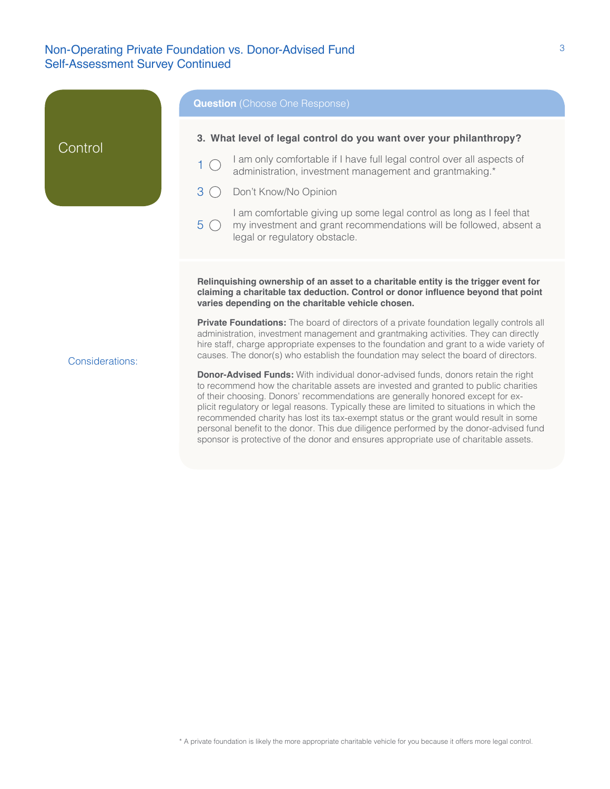|                 | <b>Question</b> (Choose One Response)                                                                                                                                                                                                                                                                                                                                                                                                                                                                                                                                                                                                                                                                                                                                                                                                                                                                                                                                                                                                                                                                                                                                                                                                              |
|-----------------|----------------------------------------------------------------------------------------------------------------------------------------------------------------------------------------------------------------------------------------------------------------------------------------------------------------------------------------------------------------------------------------------------------------------------------------------------------------------------------------------------------------------------------------------------------------------------------------------------------------------------------------------------------------------------------------------------------------------------------------------------------------------------------------------------------------------------------------------------------------------------------------------------------------------------------------------------------------------------------------------------------------------------------------------------------------------------------------------------------------------------------------------------------------------------------------------------------------------------------------------------|
| Control         | 3. What level of legal control do you want over your philanthropy?<br>I am only comfortable if I have full legal control over all aspects of<br>$1^\circ$<br>administration, investment management and grantmaking.*<br>$3^\circ$<br>Don't Know/No Opinion<br>I am comfortable giving up some legal control as long as I feel that<br>$5^\circ$<br>my investment and grant recommendations will be followed, absent a<br>legal or regulatory obstacle.                                                                                                                                                                                                                                                                                                                                                                                                                                                                                                                                                                                                                                                                                                                                                                                             |
| Considerations: | Relinquishing ownership of an asset to a charitable entity is the trigger event for<br>claiming a charitable tax deduction. Control or donor influence beyond that point<br>varies depending on the charitable vehicle chosen.<br>Private Foundations: The board of directors of a private foundation legally controls all<br>administration, investment management and grantmaking activities. They can directly<br>hire staff, charge appropriate expenses to the foundation and grant to a wide variety of<br>causes. The donor(s) who establish the foundation may select the board of directors.<br><b>Donor-Advised Funds:</b> With individual donor-advised funds, donors retain the right<br>to recommend how the charitable assets are invested and granted to public charities<br>of their choosing. Donors' recommendations are generally honored except for ex-<br>plicit regulatory or legal reasons. Typically these are limited to situations in which the<br>recommended charity has lost its tax-exempt status or the grant would result in some<br>personal benefit to the donor. This due diligence performed by the donor-advised fund<br>sponsor is protective of the donor and ensures appropriate use of charitable assets. |

3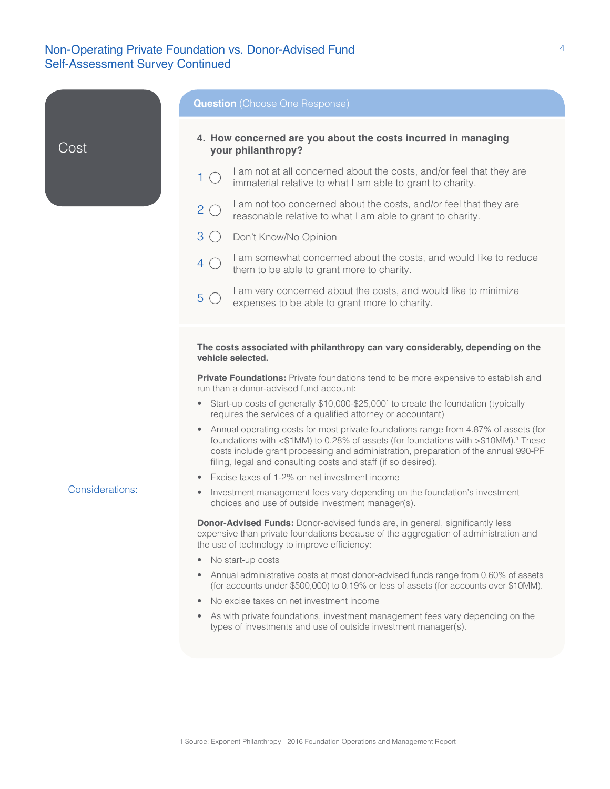| 4. How concerned are you about the costs incurred in managing<br>your philanthropy?<br>I am not at all concerned about the costs, and/or feel that they are<br>$\mathbf{1}$<br>$\left(\begin{array}{c} \end{array}\right)$<br>immaterial relative to what I am able to grant to charity.<br>I am not too concerned about the costs, and/or feel that they are<br>$\overline{2}$<br>reasonable relative to what I am able to grant to charity.<br>$3^\circ$<br>Don't Know/No Opinion<br>I am somewhat concerned about the costs, and would like to reduce<br>$4\circ$<br>them to be able to grant more to charity.<br>I am very concerned about the costs, and would like to minimize<br>5<br>(<br>expenses to be able to grant more to charity.<br>The costs associated with philanthropy can vary considerably, depending on the<br>vehicle selected. |
|--------------------------------------------------------------------------------------------------------------------------------------------------------------------------------------------------------------------------------------------------------------------------------------------------------------------------------------------------------------------------------------------------------------------------------------------------------------------------------------------------------------------------------------------------------------------------------------------------------------------------------------------------------------------------------------------------------------------------------------------------------------------------------------------------------------------------------------------------------|
|                                                                                                                                                                                                                                                                                                                                                                                                                                                                                                                                                                                                                                                                                                                                                                                                                                                        |
|                                                                                                                                                                                                                                                                                                                                                                                                                                                                                                                                                                                                                                                                                                                                                                                                                                                        |
|                                                                                                                                                                                                                                                                                                                                                                                                                                                                                                                                                                                                                                                                                                                                                                                                                                                        |
|                                                                                                                                                                                                                                                                                                                                                                                                                                                                                                                                                                                                                                                                                                                                                                                                                                                        |
|                                                                                                                                                                                                                                                                                                                                                                                                                                                                                                                                                                                                                                                                                                                                                                                                                                                        |
|                                                                                                                                                                                                                                                                                                                                                                                                                                                                                                                                                                                                                                                                                                                                                                                                                                                        |
|                                                                                                                                                                                                                                                                                                                                                                                                                                                                                                                                                                                                                                                                                                                                                                                                                                                        |
| Private Foundations: Private foundations tend to be more expensive to establish and<br>run than a donor-advised fund account:                                                                                                                                                                                                                                                                                                                                                                                                                                                                                                                                                                                                                                                                                                                          |
| Start-up costs of generally \$10,000-\$25,000 <sup>1</sup> to create the foundation (typically<br>$\bullet$<br>requires the services of a qualified attorney or accountant)                                                                                                                                                                                                                                                                                                                                                                                                                                                                                                                                                                                                                                                                            |
| Annual operating costs for most private foundations range from 4.87% of assets (for<br>foundations with <\$1MM) to 0.28% of assets (for foundations with >\$10MM). <sup>1</sup> These<br>costs include grant processing and administration, preparation of the annual 990-PF<br>filing, legal and consulting costs and staff (if so desired).                                                                                                                                                                                                                                                                                                                                                                                                                                                                                                          |
| Excise taxes of 1-2% on net investment income                                                                                                                                                                                                                                                                                                                                                                                                                                                                                                                                                                                                                                                                                                                                                                                                          |
| Investment management fees vary depending on the foundation's investment<br>$\bullet$<br>choices and use of outside investment manager(s).                                                                                                                                                                                                                                                                                                                                                                                                                                                                                                                                                                                                                                                                                                             |
| <b>Donor-Advised Funds:</b> Donor-advised funds are, in general, significantly less<br>expensive than private foundations because of the aggregation of administration and<br>the use of technology to improve efficiency:                                                                                                                                                                                                                                                                                                                                                                                                                                                                                                                                                                                                                             |
| No start-up costs<br>$\bullet$                                                                                                                                                                                                                                                                                                                                                                                                                                                                                                                                                                                                                                                                                                                                                                                                                         |
| Annual administrative costs at most donor-advised funds range from 0.60% of assets<br>(for accounts under \$500,000) to 0.19% or less of assets (for accounts over \$10MM).                                                                                                                                                                                                                                                                                                                                                                                                                                                                                                                                                                                                                                                                            |
| No excise taxes on net investment income                                                                                                                                                                                                                                                                                                                                                                                                                                                                                                                                                                                                                                                                                                                                                                                                               |
| As with private foundations, investment management fees vary depending on the<br>$\bullet$<br>types of investments and use of outside investment manager(s).                                                                                                                                                                                                                                                                                                                                                                                                                                                                                                                                                                                                                                                                                           |
|                                                                                                                                                                                                                                                                                                                                                                                                                                                                                                                                                                                                                                                                                                                                                                                                                                                        |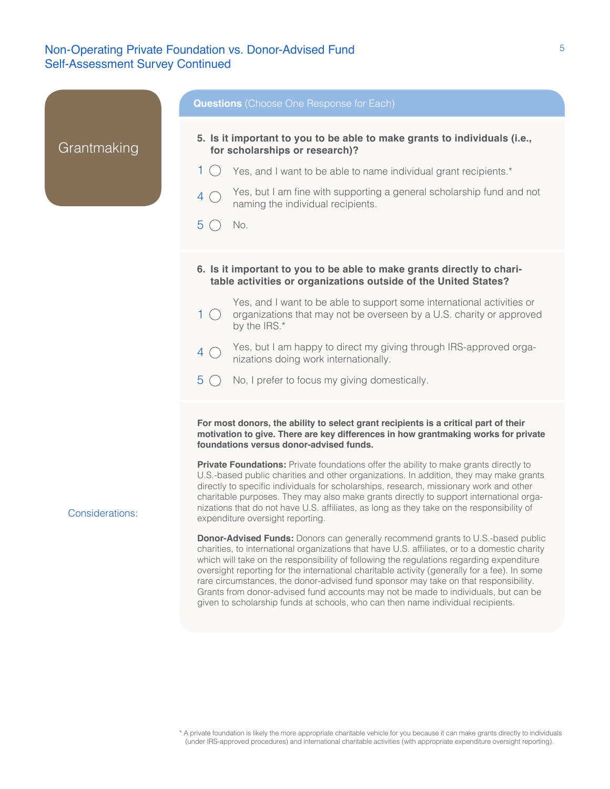|                 | <b>Questions</b> (Choose One Response for Each)                                                                                                                                                                                                                                                                                                                                                                                                                                                      |
|-----------------|------------------------------------------------------------------------------------------------------------------------------------------------------------------------------------------------------------------------------------------------------------------------------------------------------------------------------------------------------------------------------------------------------------------------------------------------------------------------------------------------------|
| Grantmaking     | 5. Is it important to you to be able to make grants to individuals (i.e.,<br>for scholarships or research)?                                                                                                                                                                                                                                                                                                                                                                                          |
|                 | 1.<br>Yes, and I want to be able to name individual grant recipients.*                                                                                                                                                                                                                                                                                                                                                                                                                               |
|                 | Yes, but I am fine with supporting a general scholarship fund and not<br>$\overline{4}$<br>naming the individual recipients.                                                                                                                                                                                                                                                                                                                                                                         |
|                 | $5^\circ$<br>No.                                                                                                                                                                                                                                                                                                                                                                                                                                                                                     |
|                 | 6. Is it important to you to be able to make grants directly to chari-<br>table activities or organizations outside of the United States?                                                                                                                                                                                                                                                                                                                                                            |
|                 | Yes, and I want to be able to support some international activities or<br>1.<br>organizations that may not be overseen by a U.S. charity or approved<br>$($ )<br>by the IRS.*                                                                                                                                                                                                                                                                                                                        |
|                 | Yes, but I am happy to direct my giving through IRS-approved orga-<br>$\overline{4}$<br>$\big)$<br>nizations doing work internationally.                                                                                                                                                                                                                                                                                                                                                             |
|                 | $5^\circ$<br>No, I prefer to focus my giving domestically.                                                                                                                                                                                                                                                                                                                                                                                                                                           |
|                 | For most donors, the ability to select grant recipients is a critical part of their<br>motivation to give. There are key differences in how grantmaking works for private<br>foundations versus donor-advised funds.                                                                                                                                                                                                                                                                                 |
| Considerations: | Private Foundations: Private foundations offer the ability to make grants directly to<br>U.S.-based public charities and other organizations. In addition, they may make grants<br>directly to specific individuals for scholarships, research, missionary work and other<br>charitable purposes. They may also make grants directly to support international orga-<br>nizations that do not have U.S. affiliates, as long as they take on the responsibility of<br>expenditure oversight reporting. |
|                 | <b>Donor-Advised Funds:</b> Donors can generally recommend grants to U.S.-based public<br>charities, to international organizations that have U.S. affiliates, or to a domestic charity<br>which will take on the responsibility of following the regulations regarding expenditure<br>oversight reporting for the international charitable activity (generally for a fee). In some                                                                                                                  |

rare circumstances, the donor-advised fund sponsor may take on that responsibility. Grants from donor-advised fund accounts may not be made to individuals, but can be given to scholarship funds at schools, who can then name individual recipients.

<sup>\*</sup> A private foundation is likely the more appropriate charitable vehicle for you because it can make grants directly to individuals (under IRS-approved procedures) and international charitable activities (with appropriate expenditure oversight reporting).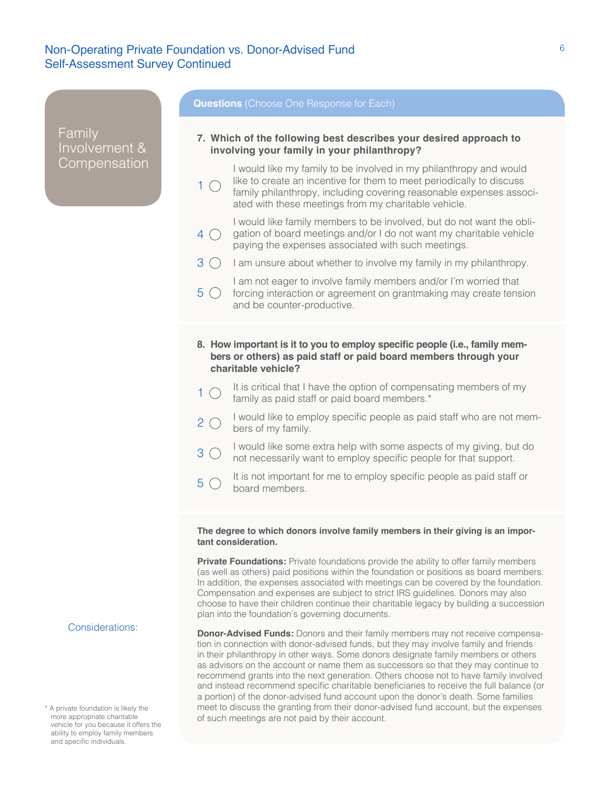Family Involvement & Compensation

#### **Questions** (Choose One Response for Each)

**7. Which of the following best describes your desired approach to involving your family in your philanthropy?**

I would like my family to be involved in my philanthropy and would like to create an incentive for them to meet periodically to discuss  $1^\circ$ 

family philanthropy, including covering reasonable expenses associated with these meetings from my charitable vehicle.

I would like family members to be involved, but do not want the obligation of board meetings and/or I do not want my charitable vehicle paying the expenses associated with such meetings.  $4 \cap$ 

 $3 \bigcirc$  I am unsure about whether to involve my family in my philanthropy.

I am not eager to involve family members and/or I'm worried that

- forcing interaction or agreement on grantmaking may create tension and be counter-productive.  $5^\circ$
- **8. How important is it to you to employ specific people (i.e., family members or others) as paid staff or paid board members through your charitable vehicle?**
- It is critical that I have the option of compensating members of my family as paid staff or paid board members.\*  $1<sup>1</sup>$
- I would like to employ specific people as paid staff who are not members of my family.  $2<sup>o</sup>$
- I would like some extra help with some aspects of my giving, but do not necessarily want to employ specific people for that support.  $3<sup>1</sup>$
- It is not important for me to employ specific people as paid staff or board members.  $5^\circ$

**The degree to which donors involve family members in their giving is an important consideration.** 

**Private Foundations:** Private foundations provide the ability to offer family members (as well as others) paid positions within the foundation or positions as board members. In addition, the expenses associated with meetings can be covered by the foundation. Compensation and expenses are subject to strict IRS guidelines. Donors may also choose to have their children continue their charitable legacy by building a succession plan into the foundation's governing documents.

**Donor-Advised Funds:** Donors and their family members may not receive compensation in connection with donor-advised funds, but they may involve family and friends in their philanthropy in other ways. Some donors designate family members or others as advisors on the account or name them as successors so that they may continue to recommend grants into the next generation. Others choose not to have family involved and instead recommend specific charitable beneficiaries to receive the full balance (or a portion) of the donor-advised fund account upon the donor's death. Some families meet to discuss the granting from their donor-advised fund account, but the expenses of such meetings are not paid by their account.

#### Considerations:

\* A private foundation is likely the more appropriate charitable vehicle for you because it offers the ability to employ family members and specific individuals.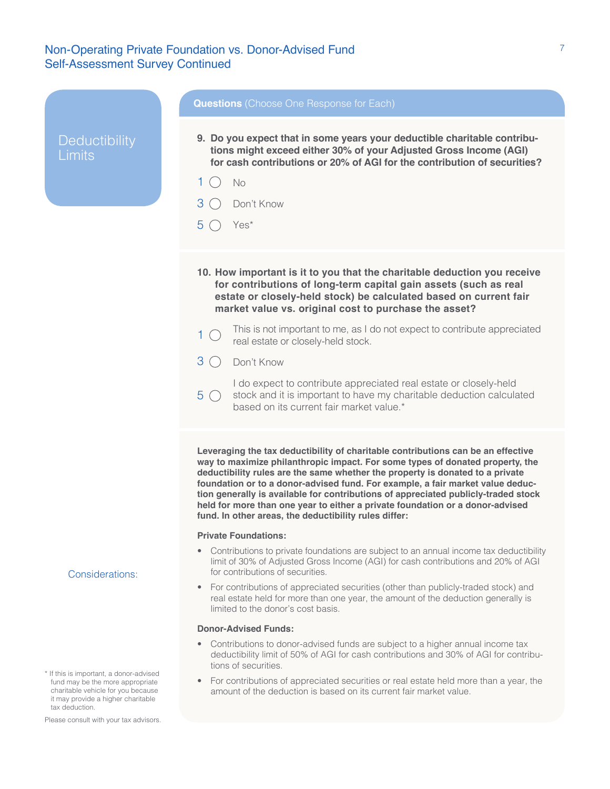Please consult with your tax advisors.

|                                                                                                                                                                         | <b>Questions</b> (Choose One Response for Each)                                                                                                                                                                                                                                                                                                                                                                                                                                                                                                                      |
|-------------------------------------------------------------------------------------------------------------------------------------------------------------------------|----------------------------------------------------------------------------------------------------------------------------------------------------------------------------------------------------------------------------------------------------------------------------------------------------------------------------------------------------------------------------------------------------------------------------------------------------------------------------------------------------------------------------------------------------------------------|
| <b>Deductibility</b><br>Limits                                                                                                                                          | 9. Do you expect that in some years your deductible charitable contribu-<br>tions might exceed either 30% of your Adjusted Gross Income (AGI)<br>for cash contributions or 20% of AGI for the contribution of securities?<br>1.<br>$\left( \quad \right)$<br><b>No</b><br>3<br>Don't Know<br>$5^\circ$<br>Yes*                                                                                                                                                                                                                                                       |
|                                                                                                                                                                         | 10. How important is it to you that the charitable deduction you receive<br>for contributions of long-term capital gain assets (such as real<br>estate or closely-held stock) be calculated based on current fair<br>market value vs. original cost to purchase the asset?                                                                                                                                                                                                                                                                                           |
|                                                                                                                                                                         | This is not important to me, as I do not expect to contribute appreciated<br>1.<br>(<br>real estate or closely-held stock.                                                                                                                                                                                                                                                                                                                                                                                                                                           |
|                                                                                                                                                                         | $3^\circ$<br>Don't Know                                                                                                                                                                                                                                                                                                                                                                                                                                                                                                                                              |
|                                                                                                                                                                         | I do expect to contribute appreciated real estate or closely-held<br>$5^\circ$<br>stock and it is important to have my charitable deduction calculated<br>based on its current fair market value.*                                                                                                                                                                                                                                                                                                                                                                   |
|                                                                                                                                                                         | Leveraging the tax deductibility of charitable contributions can be an effective<br>way to maximize philanthropic impact. For some types of donated property, the<br>deductibility rules are the same whether the property is donated to a private<br>foundation or to a donor-advised fund. For example, a fair market value deduc-<br>tion generally is available for contributions of appreciated publicly-traded stock<br>held for more than one year to either a private foundation or a donor-advised<br>fund. In other areas, the deductibility rules differ: |
|                                                                                                                                                                         | <b>Private Foundations:</b>                                                                                                                                                                                                                                                                                                                                                                                                                                                                                                                                          |
| Considerations:                                                                                                                                                         | Contributions to private foundations are subject to an annual income tax deductibility<br>limit of 30% of Adjusted Gross Income (AGI) for cash contributions and 20% of AGI<br>for contributions of securities.                                                                                                                                                                                                                                                                                                                                                      |
|                                                                                                                                                                         | For contributions of appreciated securities (other than publicly-traded stock) and<br>$\bullet$<br>real estate held for more than one year, the amount of the deduction generally is<br>limited to the donor's cost basis.                                                                                                                                                                                                                                                                                                                                           |
|                                                                                                                                                                         | <b>Donor-Advised Funds:</b>                                                                                                                                                                                                                                                                                                                                                                                                                                                                                                                                          |
|                                                                                                                                                                         | Contributions to donor-advised funds are subject to a higher annual income tax<br>$\bullet$<br>deductibility limit of 50% of AGI for cash contributions and 30% of AGI for contribu-<br>tions of securities.                                                                                                                                                                                                                                                                                                                                                         |
| If this is important, a donor-advised<br>fund may be the more appropriate<br>charitable vehicle for you because<br>it may provide a higher charitable<br>tax deduction. | For contributions of appreciated securities or real estate held more than a year, the<br>$\bullet$<br>amount of the deduction is based on its current fair market value.                                                                                                                                                                                                                                                                                                                                                                                             |